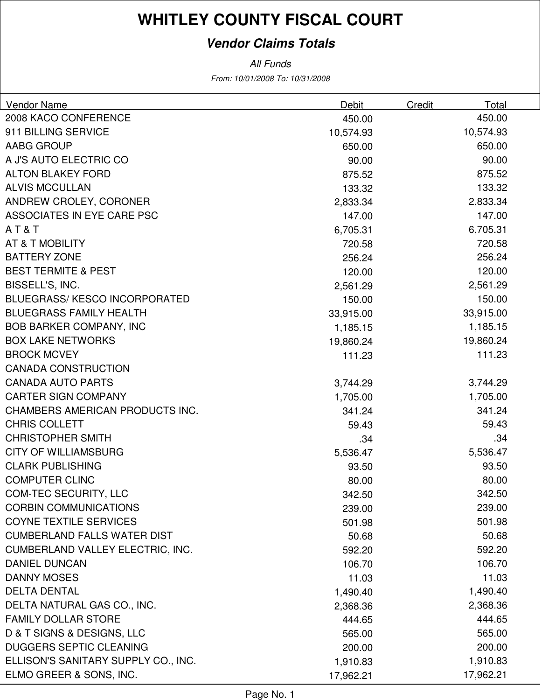### **Vendor Claims Totals**

From: 10/01/2008 To: 10/31/2008 All Funds

| Vendor Name                             | <b>Debit</b> | <b>Credit</b> | Total     |
|-----------------------------------------|--------------|---------------|-----------|
| 2008 KACO CONFERENCE                    | 450.00       |               | 450.00    |
| 911 BILLING SERVICE                     | 10,574.93    |               | 10,574.93 |
| AABG GROUP                              | 650.00       |               | 650.00    |
| A J'S AUTO ELECTRIC CO                  | 90.00        |               | 90.00     |
| <b>ALTON BLAKEY FORD</b>                | 875.52       |               | 875.52    |
| <b>ALVIS MCCULLAN</b>                   | 133.32       |               | 133.32    |
| ANDREW CROLEY, CORONER                  | 2,833.34     |               | 2,833.34  |
| ASSOCIATES IN EYE CARE PSC              | 147.00       |               | 147.00    |
| AT&T                                    | 6,705.31     |               | 6,705.31  |
| AT & T MOBILITY                         | 720.58       |               | 720.58    |
| <b>BATTERY ZONE</b>                     | 256.24       |               | 256.24    |
| <b>BEST TERMITE &amp; PEST</b>          | 120.00       |               | 120.00    |
| BISSELL'S, INC.                         | 2,561.29     |               | 2,561.29  |
| BLUEGRASS/KESCO INCORPORATED            | 150.00       |               | 150.00    |
| <b>BLUEGRASS FAMILY HEALTH</b>          | 33,915.00    |               | 33,915.00 |
| <b>BOB BARKER COMPANY, INC</b>          | 1,185.15     |               | 1,185.15  |
| <b>BOX LAKE NETWORKS</b>                | 19,860.24    |               | 19,860.24 |
| <b>BROCK MCVEY</b>                      | 111.23       |               | 111.23    |
| <b>CANADA CONSTRUCTION</b>              |              |               |           |
| <b>CANADA AUTO PARTS</b>                | 3,744.29     |               | 3,744.29  |
| <b>CARTER SIGN COMPANY</b>              | 1,705.00     |               | 1,705.00  |
| CHAMBERS AMERICAN PRODUCTS INC.         | 341.24       |               | 341.24    |
| <b>CHRIS COLLETT</b>                    | 59.43        |               | 59.43     |
| <b>CHRISTOPHER SMITH</b>                | .34          |               | .34       |
| <b>CITY OF WILLIAMSBURG</b>             | 5,536.47     |               | 5,536.47  |
| <b>CLARK PUBLISHING</b>                 | 93.50        |               | 93.50     |
| <b>COMPUTER CLINC</b>                   | 80.00        |               | 80.00     |
| COM-TEC SECURITY, LLC                   | 342.50       |               | 342.50    |
| <b>CORBIN COMMUNICATIONS</b>            | 239.00       |               | 239.00    |
| <b>COYNE TEXTILE SERVICES</b>           | 501.98       |               | 501.98    |
| <b>CUMBERLAND FALLS WATER DIST</b>      | 50.68        |               | 50.68     |
| <b>CUMBERLAND VALLEY ELECTRIC, INC.</b> | 592.20       |               | 592.20    |
| <b>DANIEL DUNCAN</b>                    | 106.70       |               | 106.70    |
| <b>DANNY MOSES</b>                      | 11.03        |               | 11.03     |
| <b>DELTA DENTAL</b>                     | 1,490.40     |               | 1,490.40  |
| DELTA NATURAL GAS CO., INC.             | 2,368.36     |               | 2,368.36  |
| <b>FAMILY DOLLAR STORE</b>              | 444.65       |               | 444.65    |
| D & T SIGNS & DESIGNS, LLC              | 565.00       |               | 565.00    |
| <b>DUGGERS SEPTIC CLEANING</b>          | 200.00       |               | 200.00    |
| ELLISON'S SANITARY SUPPLY CO., INC.     | 1,910.83     |               | 1,910.83  |
| ELMO GREER & SONS, INC.                 | 17,962.21    |               | 17,962.21 |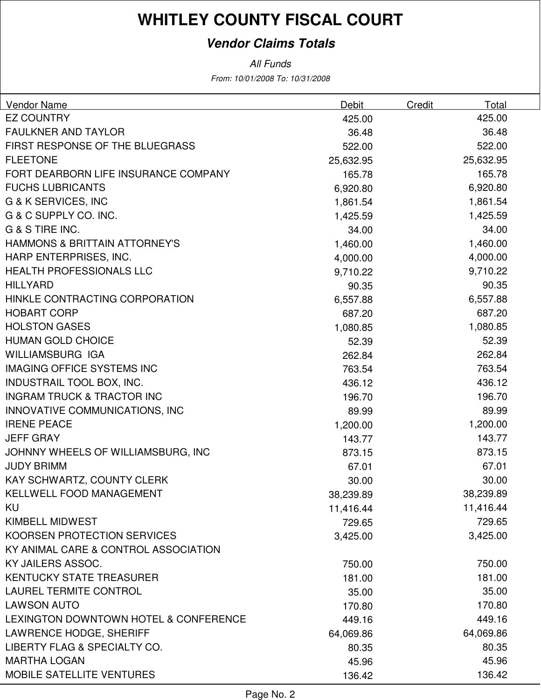### **Vendor Claims Totals**

All Funds

From: 10/01/2008 To: 10/31/2008

| <b>Vendor Name</b>                    | <b>Debit</b> | Total<br><b>Credit</b> |  |
|---------------------------------------|--------------|------------------------|--|
| <b>EZ COUNTRY</b>                     | 425.00       | 425.00                 |  |
| <b>FAULKNER AND TAYLOR</b>            | 36.48        | 36.48                  |  |
| FIRST RESPONSE OF THE BLUEGRASS       | 522.00       | 522.00                 |  |
| <b>FLEETONE</b>                       | 25,632.95    | 25,632.95              |  |
| FORT DEARBORN LIFE INSURANCE COMPANY  | 165.78       | 165.78                 |  |
| <b>FUCHS LUBRICANTS</b>               | 6,920.80     | 6,920.80               |  |
| <b>G &amp; K SERVICES, INC</b>        | 1,861.54     | 1,861.54               |  |
| G & C SUPPLY CO. INC.                 | 1,425.59     | 1,425.59               |  |
| G & S TIRE INC.                       | 34.00        | 34.00                  |  |
| HAMMONS & BRITTAIN ATTORNEY'S         | 1,460.00     | 1,460.00               |  |
| HARP ENTERPRISES, INC.                | 4,000.00     | 4,000.00               |  |
| <b>HEALTH PROFESSIONALS LLC</b>       | 9,710.22     | 9,710.22               |  |
| <b>HILLYARD</b>                       | 90.35        | 90.35                  |  |
| HINKLE CONTRACTING CORPORATION        | 6,557.88     | 6,557.88               |  |
| <b>HOBART CORP</b>                    | 687.20       | 687.20                 |  |
| <b>HOLSTON GASES</b>                  | 1,080.85     | 1,080.85               |  |
| <b>HUMAN GOLD CHOICE</b>              | 52.39        | 52.39                  |  |
| <b>WILLIAMSBURG IGA</b>               | 262.84       | 262.84                 |  |
| <b>IMAGING OFFICE SYSTEMS INC</b>     | 763.54       | 763.54                 |  |
| INDUSTRAIL TOOL BOX, INC.             | 436.12       | 436.12                 |  |
| <b>INGRAM TRUCK &amp; TRACTOR INC</b> | 196.70       | 196.70                 |  |
| INNOVATIVE COMMUNICATIONS, INC        | 89.99        | 89.99                  |  |
| <b>IRENE PEACE</b>                    | 1,200.00     | 1,200.00               |  |
| <b>JEFF GRAY</b>                      | 143.77       | 143.77                 |  |
| JOHNNY WHEELS OF WILLIAMSBURG, INC    | 873.15       | 873.15                 |  |
| <b>JUDY BRIMM</b>                     | 67.01        | 67.01                  |  |
| KAY SCHWARTZ, COUNTY CLERK            | 30.00        | 30.00                  |  |
| KELLWELL FOOD MANAGEMENT              | 38,239.89    | 38,239.89              |  |
| KU                                    | 11,416.44    | 11,416.44              |  |
| KIMBELL MIDWEST                       | 729.65       | 729.65                 |  |
| KOORSEN PROTECTION SERVICES           | 3,425.00     | 3,425.00               |  |
| KY ANIMAL CARE & CONTROL ASSOCIATION  |              |                        |  |
| KY JAILERS ASSOC.                     | 750.00       | 750.00                 |  |
| <b>KENTUCKY STATE TREASURER</b>       | 181.00       | 181.00                 |  |
| <b>LAUREL TERMITE CONTROL</b>         | 35.00        | 35.00                  |  |
| <b>LAWSON AUTO</b>                    | 170.80       | 170.80                 |  |
| LEXINGTON DOWNTOWN HOTEL & CONFERENCE | 449.16       | 449.16                 |  |
| LAWRENCE HODGE, SHERIFF               | 64,069.86    | 64,069.86              |  |
| LIBERTY FLAG & SPECIALTY CO.          | 80.35        | 80.35                  |  |
| <b>MARTHA LOGAN</b>                   | 45.96        | 45.96                  |  |
| MOBILE SATELLITE VENTURES             | 136.42       | 136.42                 |  |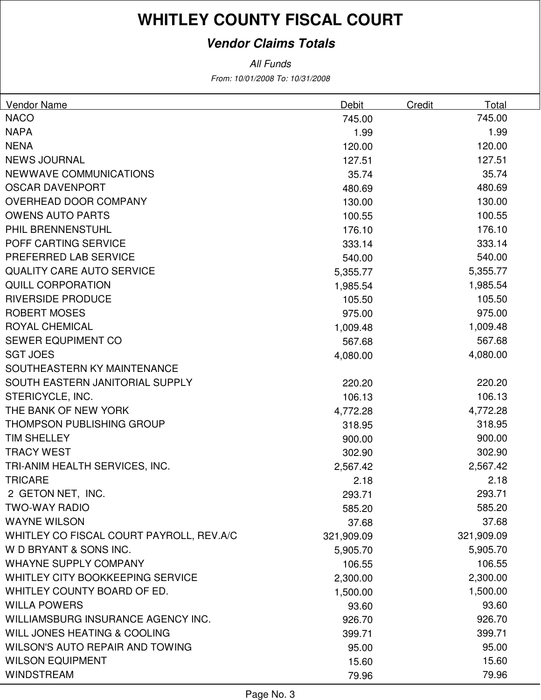### **Vendor Claims Totals**

From: 10/01/2008 To: 10/31/2008 All Funds

| Vendor Name                              | Debit      | <b>Credit</b><br>Total |
|------------------------------------------|------------|------------------------|
| <b>NACO</b>                              | 745.00     | 745.00                 |
| <b>NAPA</b>                              | 1.99       | 1.99                   |
| <b>NENA</b>                              | 120.00     | 120.00                 |
| <b>NEWS JOURNAL</b>                      | 127.51     | 127.51                 |
| NEWWAVE COMMUNICATIONS                   | 35.74      | 35.74                  |
| <b>OSCAR DAVENPORT</b>                   | 480.69     | 480.69                 |
| OVERHEAD DOOR COMPANY                    | 130.00     | 130.00                 |
| <b>OWENS AUTO PARTS</b>                  | 100.55     | 100.55                 |
| PHIL BRENNENSTUHL                        | 176.10     | 176.10                 |
| POFF CARTING SERVICE                     | 333.14     | 333.14                 |
| PREFERRED LAB SERVICE                    | 540.00     | 540.00                 |
| <b>QUALITY CARE AUTO SERVICE</b>         | 5,355.77   | 5,355.77               |
| <b>QUILL CORPORATION</b>                 | 1,985.54   | 1,985.54               |
| <b>RIVERSIDE PRODUCE</b>                 | 105.50     | 105.50                 |
| <b>ROBERT MOSES</b>                      | 975.00     | 975.00                 |
| <b>ROYAL CHEMICAL</b>                    | 1,009.48   | 1,009.48               |
| SEWER EQUPIMENT CO                       | 567.68     | 567.68                 |
| <b>SGT JOES</b>                          | 4,080.00   | 4,080.00               |
| SOUTHEASTERN KY MAINTENANCE              |            |                        |
| SOUTH EASTERN JANITORIAL SUPPLY          | 220.20     | 220.20                 |
| STERICYCLE, INC.                         | 106.13     | 106.13                 |
| THE BANK OF NEW YORK                     | 4,772.28   | 4,772.28               |
| <b>THOMPSON PUBLISHING GROUP</b>         | 318.95     | 318.95                 |
| <b>TIM SHELLEY</b>                       | 900.00     | 900.00                 |
| <b>TRACY WEST</b>                        | 302.90     | 302.90                 |
| TRI-ANIM HEALTH SERVICES, INC.           | 2,567.42   | 2,567.42               |
| <b>TRICARE</b>                           | 2.18       | 2.18                   |
| 2 GETON NET, INC.                        | 293.71     | 293.71                 |
| <b>TWO-WAY RADIO</b>                     | 585.20     | 585.20                 |
| <b>WAYNE WILSON</b>                      | 37.68      | 37.68                  |
| WHITLEY CO FISCAL COURT PAYROLL, REV.A/C | 321,909.09 | 321,909.09             |
| W D BRYANT & SONS INC.                   | 5,905.70   | 5,905.70               |
| <b>WHAYNE SUPPLY COMPANY</b>             | 106.55     | 106.55                 |
| WHITLEY CITY BOOKKEEPING SERVICE         | 2,300.00   | 2,300.00               |
| WHITLEY COUNTY BOARD OF ED.              | 1,500.00   | 1,500.00               |
| <b>WILLA POWERS</b>                      | 93.60      | 93.60                  |
| WILLIAMSBURG INSURANCE AGENCY INC.       | 926.70     | 926.70                 |
| WILL JONES HEATING & COOLING             | 399.71     | 399.71                 |
| WILSON'S AUTO REPAIR AND TOWING          | 95.00      | 95.00                  |
| <b>WILSON EQUIPMENT</b>                  | 15.60      | 15.60                  |
| <b>WINDSTREAM</b>                        | 79.96      | 79.96                  |